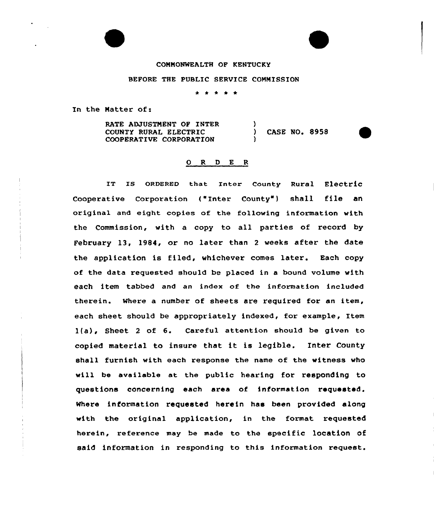### COMMONWEALTH OF KENTUCKY

### BEFORE THE PUBLIC SERVICE COMMISSION

\* \* \* \* \*

In the Natter of:

RATE ADJUSTMENT OF INTER COUNTY RURAL ELECTRIC COOPERATIVE CORPORATION ) ) CASE NO. 8958 )

## 0 R <sup>D</sup> E <sup>R</sup>

IT IS ORDERED that Inter County Rural Electric Cooperative Corporation ("Inter County") shall file an original and eight copies of the following information with the Commission, with a copy to all parties of record by February 13, 1984, or no later than <sup>2</sup> weeks after the date the application is filed, whichever comes later. Each copy of the data requested should be placed in a bound volume with each item tabbed and an index of the information included therein. Where a number of sheets are required for an item, each sheet should be appropriately indexed, for example, Item 1(a), Sheet <sup>2</sup> of 6. Careful attention shou1d be given to copied material to insure that it is legible. Inter County shall furnish with each response the name of the witness who will be available at the public hearing for responding to questions concerning each area of information requested. Where information requested herein has been provided along with the original application, in the format requested herein, reference may be made to the specific location of said information in responding to this information request.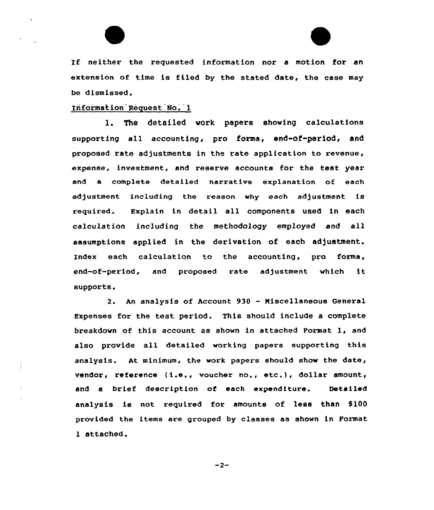



If neither the requested information nor <sup>a</sup> motion for an extension of time is filed by the stated date, the case may be dismissed.

## Irformation Request No. 1

1. The detailed work papers showing calculations supporting all accounting, pro forms, end-of-period, and proposed rate adjustments in the rate application to revenue, expense, investment, and reserve accounts for the test year and a complete detailed narrative explanation of each adjustment including the reason why each adjustment is required. Explain in detail all components used in each calculation including the methodology employed and all assumptions applied in the derivation of each adjustment. 'Index each calculation to the accounting, pro forma, end-of-period, and proposed rate adjustment which it supports.

2. An analysis of Account <sup>930</sup> - Niscellaneous General Expenses for the test period. This should include a complete breakdown of this account as shown in attached Format 1, and also provide all detailed working papers supporting this analysis. At minimum, the work papers should show the date, vendor, reference ( i.e., voucher no., etc.), dollar amount, and a brief description of each expenditure. Detailed analysis is not required for amounts of less than \$100 provided the items are grouped by classes as shown in Format 1 attached.

 $-2-$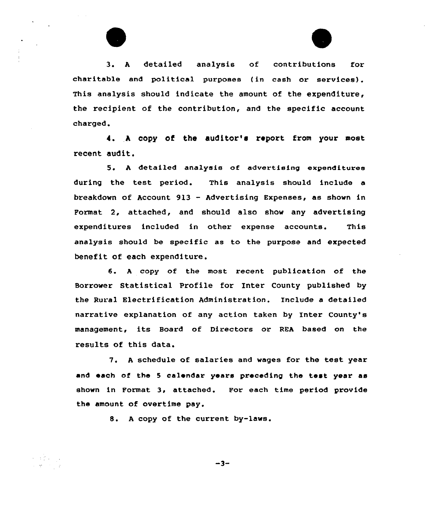3. <sup>A</sup> detailed analysis of contributions for charitable and political purposes {in cash or services). This analysis should indicate the amount of the expenditure, the recipient of the contribution, and the specific account charged.

4. <sup>A</sup> copy of the auditor'e report from your most recent audit.

5 <sup>~</sup> <sup>A</sup> detailed analysis of advertising expenditures during the test period. This analysis should include a breakdown of Account 913 — Advertising Expenses, as shown in Format 2, attached, and should also show any advertising expenditures included in other expense accounts. This analysis should be specific as to the purpose and expected benefit of each expenditure.

6. <sup>A</sup> copy of the most recent publication of the Borrower Statistical Profile for Inter County published by the Rural Electrification Administration. Include a detailed narrative explanation of any action taken by Inter County's management, its Board of Directors or REA based on the results of this data.

7. A schedule of salaries and wages for the test year and each of the <sup>5</sup> calendar years preceding the test year as shown in Format 3, attached. For each time period provide the amount of overtime pay.

8. <sup>A</sup> copy of the current by-laws.

 $\sim 32\%$  .

 $-3-$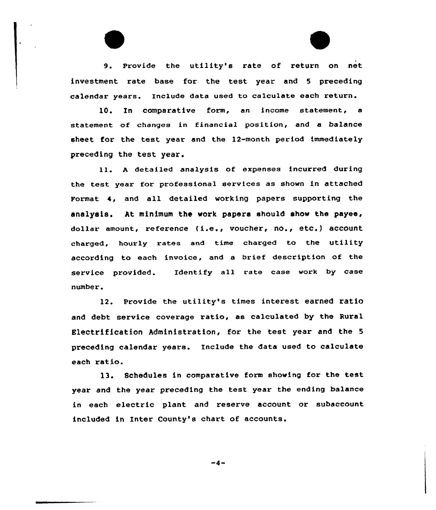9. Provide the utility's rate of return on net investment rate base for the test year and <sup>5</sup> preceding calendar years. Include data used to calculate each return.

10. Tn comparative form, an income statement, a statement of changes in financial position, and a balance sheet for the test year and the 12-month period immediately preceding the test year.

ll. <sup>A</sup> detailed analysis of expenses incurred during the test year for professional services as shown in attached Format 4, and all detailed working papers supporting the analysis. At minimum the work papers should show the payee, dollar amount, reference (i.e., voucher, no., etc.) account charged, hourly rates and time charged to the utility according to each invoice, and a brief description of the service provided. Identify all rate case work by case number.

12. provide the utility's times interest earned ratio and debt service coverage ratio, as calculated by the Rural Electrification Administration, for the test year and the <sup>5</sup> preceding calendar years. Include the data used to calculate each ratio.

13. Schedules in comparative form showing for the test year and the year preceding the test year the ending balance in each electric plant and reserve account or subaccount included in Inter County's chart of accounts.

 $-4-$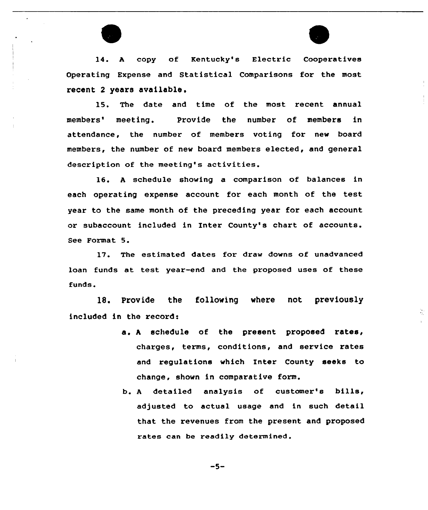

14. <sup>A</sup> copy of Kentucky's Electric Cooperatives Operating Expense and Statistical Comparisons for the most recent 2 years available.

15. The date and time of the most recent annual members' meeting. Provide the number of members in attendance, the number of members voting for new board members, the number of new board members elected, and general description of the meeting's activities.

16. <sup>A</sup> schedule showing a comparison of balances in each operating expense account for each month of the test year to the same month of the preceding year for each account or subaccount included in Inter County's chart of accounts. See Format 5.

17. The estimated dates for draw downs of unadvanced loan funds at test year-end and the proposed uses of these funds.

18. Provide the following where not previously included in the record:

> a. <sup>A</sup> schedule of the present proposed rates, charges, terms, conditions, and service rates and regulations which Inter County seeks to change, shown in comparative form.

 $\mathcal{L}_{\mathcal{L}}$ 

b. <sup>A</sup> detailed analysis of customer's bills, adjusted to actual usage and in such detail that the revenues from the present and proposed rates can be readily determined.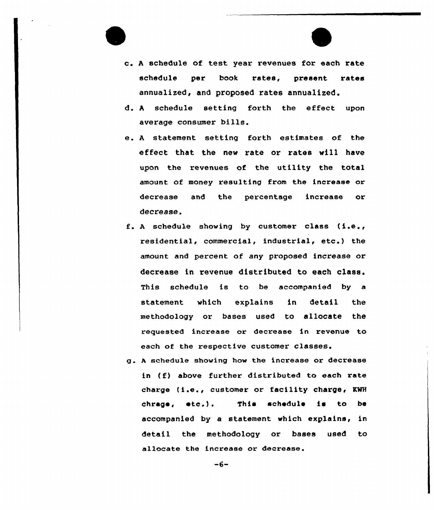

- d. <sup>A</sup> schedule setting forth the effect upon average consumer bills.
- e. A statement setting forth estimates of the effect that the new rate or rates will have upon the revenues of the utility the total amount of money resulting from the increase or decrease and the percentage increase or decrease.
- f. <sup>A</sup> schedule showing by customer class (i.e., residential, commercial, industrial, etc.) the amount and percent of any proposed increase or decrease in revenue distributed to each class. This schedule is to be accompanied by a statement which explains in detail the methodology or bases used to allocate the requested increase or decrease in revenue to each of the respective customer classes.
- g. <sup>A</sup> schedule shoving how the increase or decrease in (f) above further distributed to each rate charge (i.e., customer or facility charge< RNH chrage, ate.). This schedule is to be accompanied by a statement which explains, in detail the methodology or bases used to allocate the increase or decrease.

 $-6-$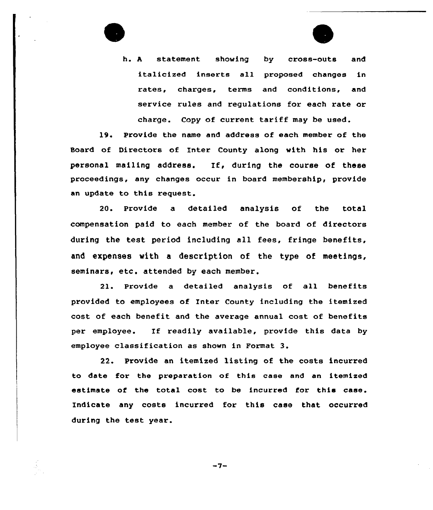

h. <sup>A</sup> statement shoving by cross-outs and italicized inserts all proposed changes in rates, charges, terms and conditions, and service rules and regulations for each rate or charge. Copy of current tariff may be used.

19. Provide the name and address of each member of the Board of Directors of Inter County along vith his or her personal mailing address. If, during the course of these proceedings, any changes occur in board membership, provide an update to this request.

20. Provide a detailed analysis of the total compensation paid to each member of the board of directors during the test period including all fees, fringe benefits, and expenses with a description of the type of meetings, seminars, etc. attended by each member.

21. Provide a detailed analysis of all benefits provided to employees of Inter County including the itemized cost of each benefit and the average annual cost of benefits per employee. If readily available, provide this data by employee classification as shown in Format 3.

22. Provide an itemized listing of the costs incurred to date for the preparation of this case and an itemized estimate of the total cost to be incurred for this case. Indicate any costs incurred for this case that occurred during the test year.

 $-7-$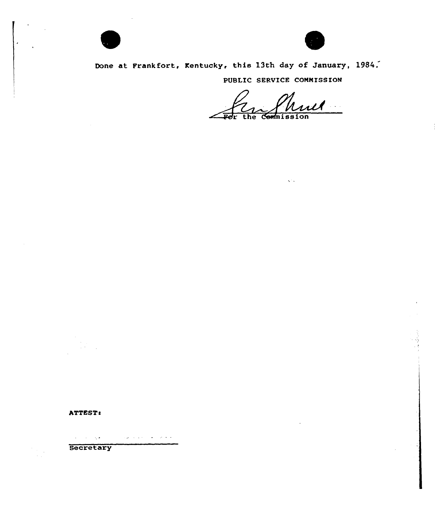

Done at Frankfort, Kentucky, this 13th day of January, 1984.

PUBLIC SERVICE COMMISSION

 $\sqrt{2}$  .

 $\mu$ 

ATTEST:

 $\mathcal{A}(\mathbf{z})$  , where  $\mathcal{A}(\mathbf{z})$  $\mathcal{L}_{\mathbf{z}}$  and  $\mathcal{L}_{\mathbf{z}}$  are  $\mathcal{L}_{\mathbf{z}}$  . In the contribution

Secretary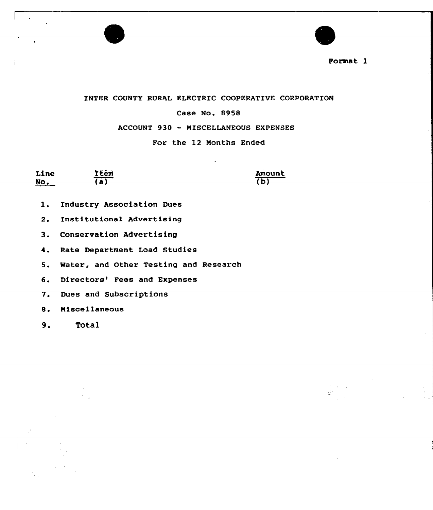



INTER COUNTY RURAL ELECTRIC COOPERATIVE CORPORATION

## Case No. 8958

ACCOUNT 930 — MISCELLANEOUS EXPENSES

For the 12 Nonths Ended

| Line | İtém           | <b>Amoun</b>            |
|------|----------------|-------------------------|
| No.  | $\overline{a}$ | $\overline{\mathbf{b}}$ |

- l. Industry Association Dues
- 2. Institutional Advertising
- 3. Conservation Advertising
- 4. Rate Department Load Studies
- 5. Water, and Other Testing and Research
- 6. Directors' Fees and Expenses
- 7. Dues and Subscriptions
- 8. Miscellaneous
- 9. Total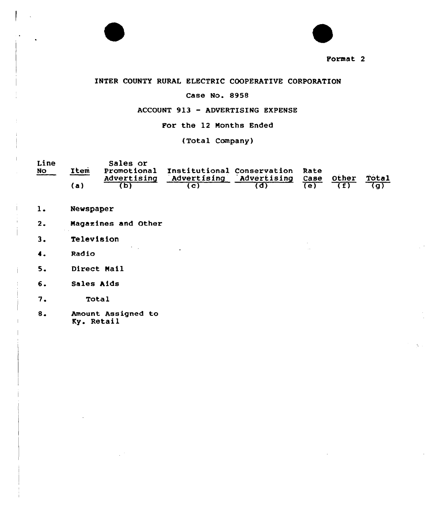



## INTER COUNTY RURAL ELECTRIC COOPERATIVE CORPORATION

## Case No. 8958

## ACCOUNT 913 — ADVERTISING EXPENSE

## Por the 12 Months Ended

(Total Company)

| Line      |      | Sales or    |                                             |                                    |     |       |
|-----------|------|-------------|---------------------------------------------|------------------------------------|-----|-------|
| <b>NO</b> | Item | Advertising | Promotional Institutional Conservation Rate | Advertising Advertising Case Other |     | Total |
|           | (a)  |             |                                             |                                    | てもし |       |

- $1.$ **Newspaper**
- Magazines and Other  $2.$
- Television  $3.$
- Radio  $\ddot{\bullet}$ .
- $5.$ Direct Mail
- 6. Sales Aids
- $7.$ Total
- $8.$ Amount. Assigned to Ky. Retail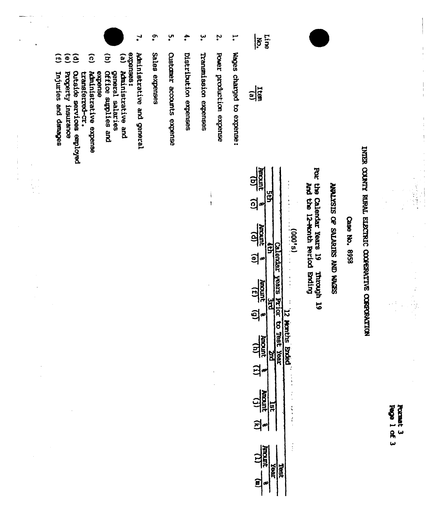**Page 1 of 3** Format 3

# INTER COUNTY RURAL ELECTRIC COOPERATIVE CORPORATION

 $\frac{1}{1}$ 

 $\begin{array}{c} | \\ | \\ | \end{array}$ 

 $\begin{array}{cccccc} 1 & & & & & \\ & 1 & & & & \\ & & 1 & & & \\ & & 1 & & & \\ & & & 1 & & \\ \end{array}$ 

 $\frac{1}{\pi}$ 

Case No. 8958

## SEEM ON SIGNIES AO SISTIMA

puber calendar vears 19 pm **SI** ufroaun

| <b>TOOL</b><br>(g)<br>$\overline{6}$                                      |            |                                | $\vdots$              |                                                                                                                                                                               |
|---------------------------------------------------------------------------|------------|--------------------------------|-----------------------|-------------------------------------------------------------------------------------------------------------------------------------------------------------------------------|
| <b>HROWL</b><br>$\mathbf{e}$                                              |            |                                | 化重新分析 医皮肤细胞 医前进行 网络海洋 | <b>19,000</b>                                                                                                                                                                 |
| $\frac{\text{Amount}}{(f)}$<br>$\mathbf{\hat{e}}$                         |            | <b>SIPAN</b><br>$\overline{1}$ |                       |                                                                                                                                                                               |
| <b>RIDER</b><br>RIDER<br>$\mathbf{\Xi}$                                   |            | to Test<br>rex<br>C            | <b>Aonths</b>         | $\frac{1}{2}$ , $\frac{1}{2}$ , $\frac{1}{2}$ , $\frac{1}{2}$ , $\frac{1}{2}$ , $\frac{1}{2}$ , $\frac{1}{2}$ , $\frac{1}{2}$ , $\frac{1}{2}$ , $\frac{1}{2}$ , $\frac{1}{2}$ |
| $\frac{1.7}{\frac{1.7}{\frac{1.7}{\sqrt{3}}}}$<br>ί<br>$\widehat{\bm{z}}$ | ċ          |                                |                       |                                                                                                                                                                               |
|                                                                           | <b>RBI</b> |                                |                       | $\vdots$                                                                                                                                                                      |

 $|\tilde{s}|$  $\frac{1}{2}$ 

Line

- $\mathbf{L}$ wages charged to expense:
- $\ddot{\cdot}$ Power production expense
- ڛ Transmission expenses

 $\mathrm{i}$ 

 $\overline{1}$ 

- $\ddot{\bullet}$ Distribution expenses
- ပ္ပ္က Customer accounts expense
- $\tilde{\cdot}$ Sales expenses
- $\mathbf{L}$ Administrative and general
- expenses:  $\mathbf{e}$ Administrative and
- general salaries<br>Office supplies and
- $\widehat{g}$ extective
- $\widehat{c}$ Administrative expense
- transferred-cr.
- $\widehat{e}$ Outside services employed
- $\widehat{e}$ Property insurance
- $\widehat{E}$ Injuries and danages

 $\frac{1}{1}$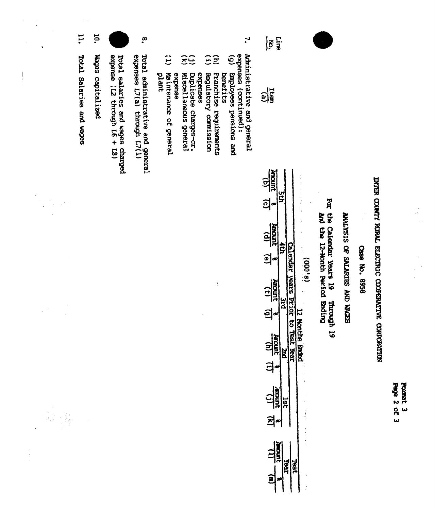|               | i.                       | <b>id.</b>        |                                                            | $\tilde{\cdot}$                                                  | $\mathbf{r}$                                                                                                                                                                                                                                                                                                                      | Line<br>$ \tilde{\delta} $                                                                                                                 |                                                                                   |                            |               |
|---------------|--------------------------|-------------------|------------------------------------------------------------|------------------------------------------------------------------|-----------------------------------------------------------------------------------------------------------------------------------------------------------------------------------------------------------------------------------------------------------------------------------------------------------------------------------|--------------------------------------------------------------------------------------------------------------------------------------------|-----------------------------------------------------------------------------------|----------------------------|---------------|
| $\frac{1}{1}$ | Total Salaries and wages | Wages capitalized | expense (12 through L6 + 18)<br>begrades and wages charged | Total administrative and general<br>expenses L7(a) through L7(1) | expenses (continued):<br>Administrative and general<br>$\ddot{c}$<br>$\tilde{e}$<br>$\widehat{\Xi}$<br><u> 중단</u><br>Ξ<br>Employees pensions and<br>Maintenance of general<br>extense<br>Miscellaneous general<br>Diplicate charges-cr.<br>expenses<br>Franchise requirements<br><b>benefits</b><br>plant<br>Regulatory comission | $\frac{1}{2}$                                                                                                                              |                                                                                   |                            |               |
|               |                          |                   |                                                            |                                                                  |                                                                                                                                                                                                                                                                                                                                   | Ancount<br><u>ପ୍ର</u><br>ն<br>ဌ<br><u>ଶ</u> ୍ର<br>œ<br><b>RECEPTED</b><br>ĝ                                                                | Por the Calendar Years 19                                                         |                            |               |
|               |                          |                   |                                                            |                                                                  | t                                                                                                                                                                                                                                                                                                                                 | Calendar years Prior to Test Year<br><u>මු</u><br>œ<br><b>Juncing</b><br>$\widehat{E}$<br>$\frac{a}{b}$<br>อุ่∞<br><b>Anount</b><br>의<br>E | and the 12-Honth Period Brding<br>(9,000)<br><b>SI yorout</b><br>12 Months Broted | SEEM ON SERVING OF SIGNING | Case No. 8958 |

<sup>(1)</sup>

 $\begin{tabular}{c|c|c} (u) & (u) & (v) & (v)\\ \hline 8 & 10000 & 8 & 10000\\ \hline 1860 & 8 & 10000\\ \hline \end{tabular}$ 

 $\begin{array}{c} \frac{1}{2} \\ \frac{1}{2} \end{array}$ 

Pomat 3<br>Page 2 of 3

INTER COUNTY RURAL ELECTRIC COOPERATIVE CORPORATION

 $\frac{1}{2}$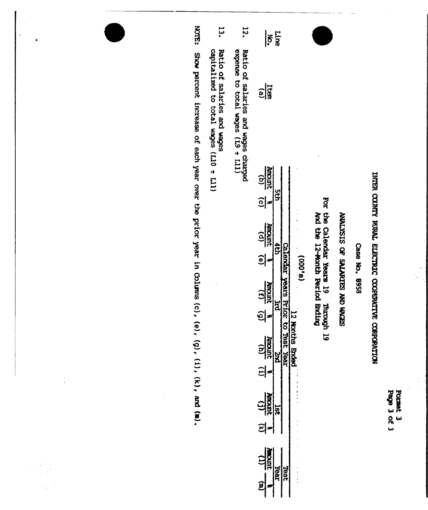| ಕ್ಷರ<br>نما | <b>Sounds</b> |
|-------------|---------------|
| ዷ<br>a.     | 54            |
|             |               |

# INTER COUNTY RURAL ELECTRIC COOPERATIVE CORPORATION

 $\frac{1}{2}$ 

Case No. 8958

## SEDIAH ONY SELVATICS AD SISKTIVNY

For the Calendar Years 19 Through 19<br>And the 12-Month Period Ending

| Ξ<br>Ξ |  |
|--------|--|
| ŕ      |  |
| ť<br>ø |  |
|        |  |
|        |  |

| $\overline{\boldsymbol{\varepsilon}}$ is                                         |      |                    |                                                                                                                                |
|----------------------------------------------------------------------------------|------|--------------------|--------------------------------------------------------------------------------------------------------------------------------|
| $\frac{1}{2}$                                                                    |      |                    |                                                                                                                                |
| $\frac{\overbrace{\text{harmonic}}}{\overbrace{\text{harmonic}}}}$<br><u>ခ</u> ါ |      |                    |                                                                                                                                |
| $\frac{(p)}{100000}$<br>의                                                        |      |                    | $\frac{1}{2}$<br>$\frac{1}{2}$ , $\frac{1}{2}$ , $\frac{1}{2}$ , $\frac{1}{2}$ , $\frac{1}{2}$ , $\frac{1}{2}$ , $\frac{1}{2}$ |
| $\overline{1}$<br>ì                                                              |      |                    |                                                                                                                                |
| <b>Amont</b><br>$\left(\mu\right)$<br>의                                          | ă    | 188<br>7<br>. Yeer | ths Ended                                                                                                                      |
| Anoni<br>$\tilde{\epsilon}$<br>의                                                 | ģ    |                    | しょこうしき きょうきょう こうしょう こうしょう こうしょう きょうこう                                                                                          |
| <b>THE</b>                                                                       | Year | <b>Gal</b>         |                                                                                                                                |

- **72.** Ratio of salaries and wages charged<br>expense to total wages (L9 + L11)
- یا<br>ما Ratio of salaries and wages<br>capitalized to total wages (L10 ÷ L11)

NOTE: Show percent increase of each year over the prior year in Columns (c), (e), (g), (i), (k), and (m).

 $\begin{pmatrix} 1 & 0 \\ 0 & 0 \end{pmatrix}$  $\hat{\mathcal{L}}$ 

 $\frac{1}{2}$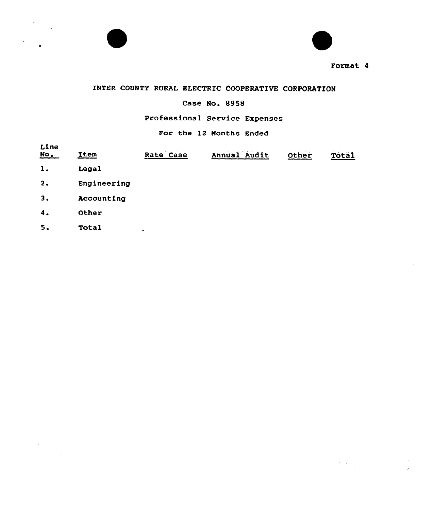



 $\label{eq:2} \frac{1}{2}\sum_{i=1}^n\sum_{j=1}^n\frac{1}{j!}\sum_{j=1}^n\sum_{j=1}^n\frac{1}{j!}\sum_{j=1}^n\sum_{j=1}^n\frac{1}{j!}\sum_{j=1}^n\frac{1}{j!}\sum_{j=1}^n\frac{1}{j!}\sum_{j=1}^n\frac{1}{j!}\sum_{j=1}^n\frac{1}{j!}\sum_{j=1}^n\frac{1}{j!}\sum_{j=1}^n\frac{1}{j!}\sum_{j=1}^n\frac{1}{j!}\sum_{j=1}^n\frac{1}{j!}\sum_{j$ 

## INTER COUNTV RURAL ELECTRIC COOPERATIVE CORPORATION

## Case No. 8958

## Professional Service Expenses

## For the 12 Months Ended

| Line<br>$NO$   | Item        | Rate Case | Annual Audit | Other | Tota1 |
|----------------|-------------|-----------|--------------|-------|-------|
| $\mathbf{1}$ . | Legal       |           |              |       |       |
| 2.             | Engineering |           |              |       |       |
| 3.             | Accounting  |           |              |       |       |
| 4.             | Other       |           |              |       |       |
| 5.             | Total       | ٠         |              |       |       |